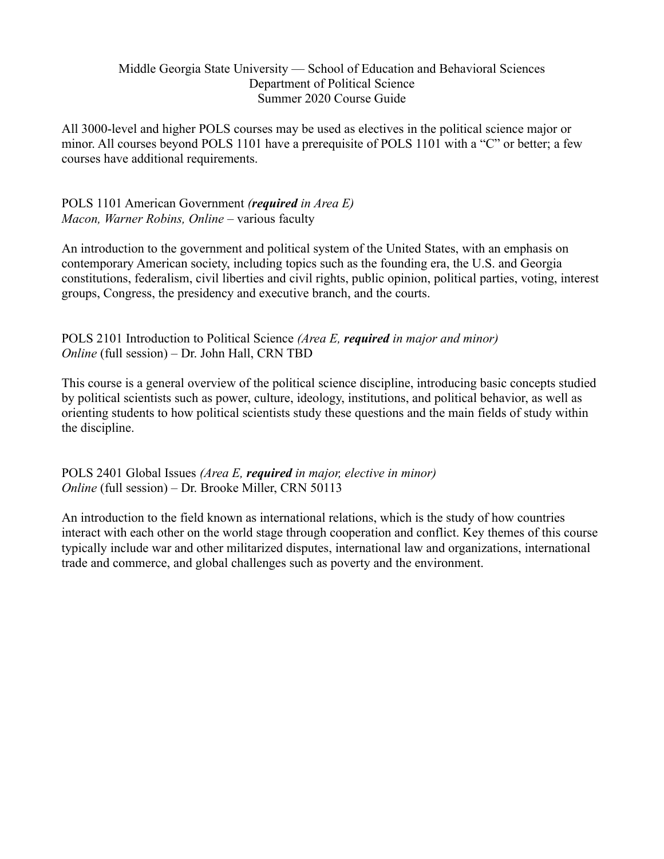## Middle Georgia State University — School of Education and Behavioral Sciences Department of Political Science Summer 2020 Course Guide

All 3000-level and higher POLS courses may be used as electives in the political science major or minor. All courses beyond POLS 1101 have a prerequisite of POLS 1101 with a "C" or better; a few courses have additional requirements.

POLS 1101 American Government *(required in Area E) Macon, Warner Robins, Online* – various faculty

An introduction to the government and political system of the United States, with an emphasis on contemporary American society, including topics such as the founding era, the U.S. and Georgia constitutions, federalism, civil liberties and civil rights, public opinion, political parties, voting, interest groups, Congress, the presidency and executive branch, and the courts.

POLS 2101 Introduction to Political Science *(Area E, required in major and minor) Online* (full session) – Dr. John Hall, CRN TBD

This course is a general overview of the political science discipline, introducing basic concepts studied by political scientists such as power, culture, ideology, institutions, and political behavior, as well as orienting students to how political scientists study these questions and the main fields of study within the discipline.

POLS 2401 Global Issues *(Area E, required in major, elective in minor) Online* (full session) – Dr. Brooke Miller, CRN 50113

An introduction to the field known as international relations, which is the study of how countries interact with each other on the world stage through cooperation and conflict. Key themes of this course typically include war and other militarized disputes, international law and organizations, international trade and commerce, and global challenges such as poverty and the environment.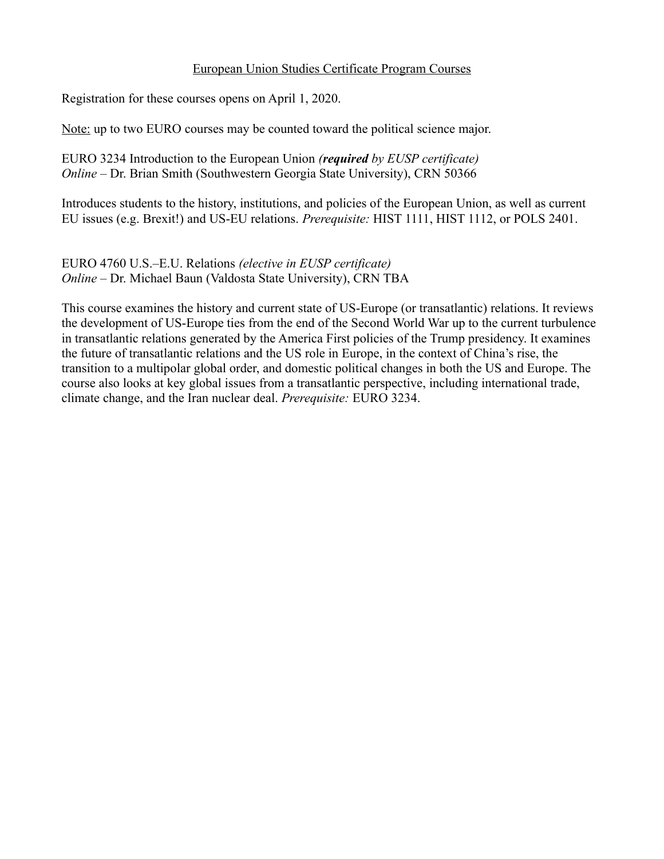## European Union Studies Certificate Program Courses

Registration for these courses opens on April 1, 2020.

Note: up to two EURO courses may be counted toward the political science major.

EURO 3234 Introduction to the European Union *(required by EUSP certificate) Online* – Dr. Brian Smith (Southwestern Georgia State University), CRN 50366

Introduces students to the history, institutions, and policies of the European Union, as well as current EU issues (e.g. Brexit!) and US-EU relations. *Prerequisite:* HIST 1111, HIST 1112, or POLS 2401.

EURO 4760 U.S.–E.U. Relations *(elective in EUSP certificate) Online* – Dr. Michael Baun (Valdosta State University), CRN TBA

This course examines the history and current state of US-Europe (or transatlantic) relations. It reviews the development of US-Europe ties from the end of the Second World War up to the current turbulence in transatlantic relations generated by the America First policies of the Trump presidency. It examines the future of transatlantic relations and the US role in Europe, in the context of China's rise, the transition to a multipolar global order, and domestic political changes in both the US and Europe. The course also looks at key global issues from a transatlantic perspective, including international trade, climate change, and the Iran nuclear deal. *Prerequisite:* EURO 3234.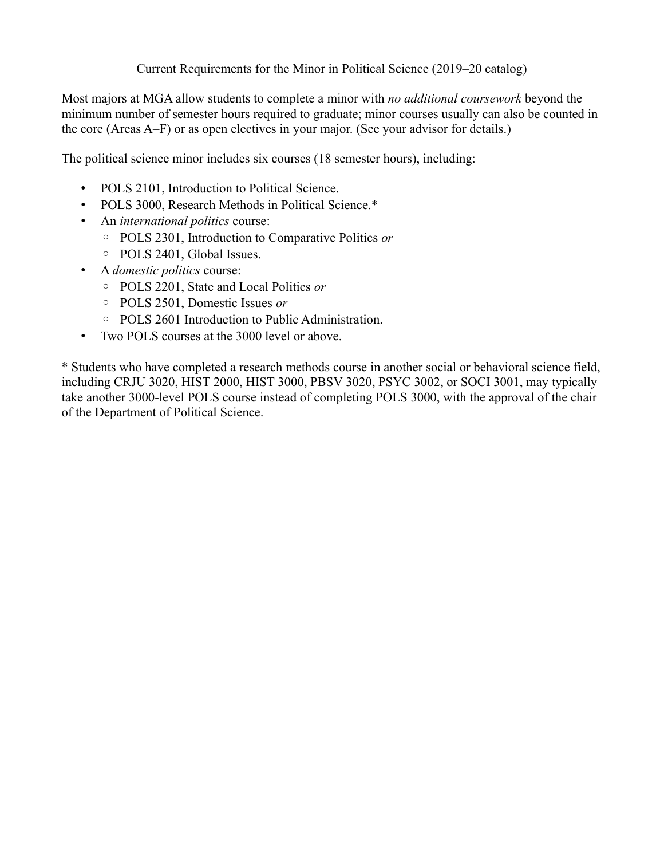## Current Requirements for the Minor in Political Science (2019–20 catalog)

Most majors at MGA allow students to complete a minor with *no additional coursework* beyond the minimum number of semester hours required to graduate; minor courses usually can also be counted in the core (Areas A–F) or as open electives in your major. (See your advisor for details.)

The political science minor includes six courses (18 semester hours), including:

- POLS 2101, Introduction to Political Science.
- POLS 3000, Research Methods in Political Science.\*
- An *international politics* course:
	- POLS 2301, Introduction to Comparative Politics *or*
	- POLS 2401, Global Issues.
- A *domestic politics* course:
	- POLS 2201, State and Local Politics *or*
	- POLS 2501, Domestic Issues *or*
	- POLS 2601 Introduction to Public Administration.
- Two POLS courses at the 3000 level or above.

\* Students who have completed a research methods course in another social or behavioral science field, including CRJU 3020, HIST 2000, HIST 3000, PBSV 3020, PSYC 3002, or SOCI 3001, may typically take another 3000-level POLS course instead of completing POLS 3000, with the approval of the chair of the Department of Political Science.